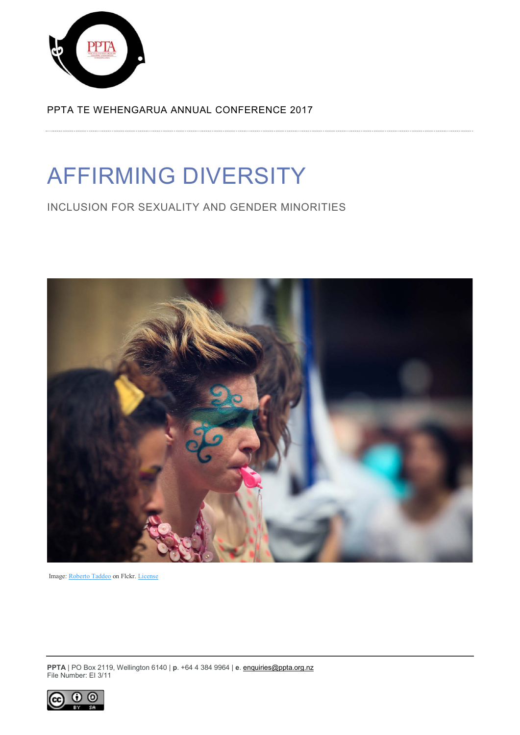

PPTA TE WEHENGARUA ANNUAL CONFERENCE 2017

# AFFIRMING DIVERSITY

INCLUSION FOR SEXUALITY AND GENDER MINORITIES



Image: [Roberto](https://www.flickr.com/photos/robertotaddeo/) Taddeo on Flckr. [License](https://creativecommons.org/licenses/by/2.0/legalcode)

**PPTA** | PO Box 2119, Wellington 6140 | **p**. +64 4 384 9964 | **e**[. enquiries@ppta.org.nz](mailto:enquiries@ppta.org.nz) File Number: EI 3/11

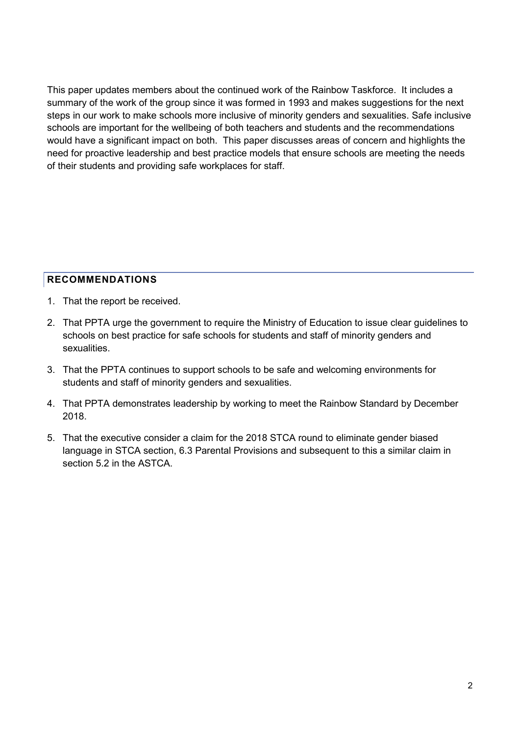This paper updates members about the continued work of the Rainbow Taskforce. It includes a summary of the work of the group since it was formed in 1993 and makes suggestions for the next steps in our work to make schools more inclusive of minority genders and sexualities. Safe inclusive schools are important for the wellbeing of both teachers and students and the recommendations would have a significant impact on both. This paper discusses areas of concern and highlights the need for proactive leadership and best practice models that ensure schools are meeting the needs of their students and providing safe workplaces for staff.

# <span id="page-1-0"></span>**RECOMMENDATIONS**

- 1. That the report be received.
- 2. That PPTA urge the government to require the Ministry of Education to issue clear guidelines to schools on best practice for safe schools for students and staff of minority genders and sexualities.
- 3. That the PPTA continues to support schools to be safe and welcoming environments for students and staff of minority genders and sexualities.
- 4. That PPTA demonstrates leadership by working to meet the Rainbow Standard by December 2018.
- 5. That the executive consider a claim for the 2018 STCA round to eliminate gender biased language in STCA section, 6.3 Parental Provisions and subsequent to this a similar claim in section 5.2 in the ASTCA.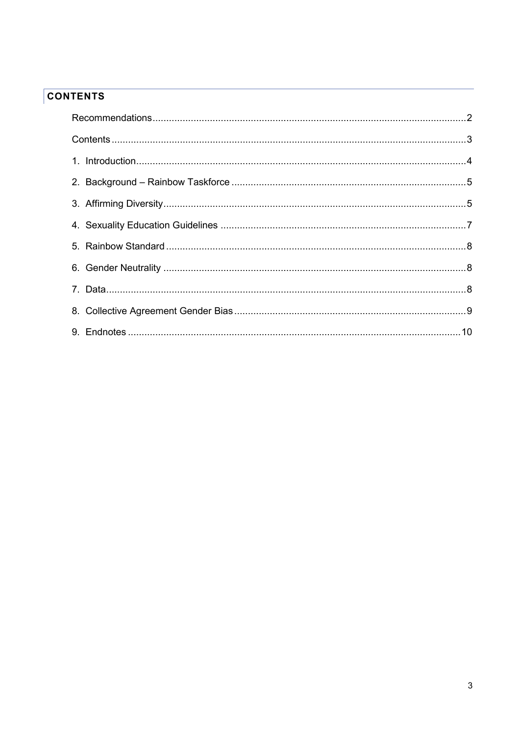# <span id="page-2-0"></span>**CONTENTS**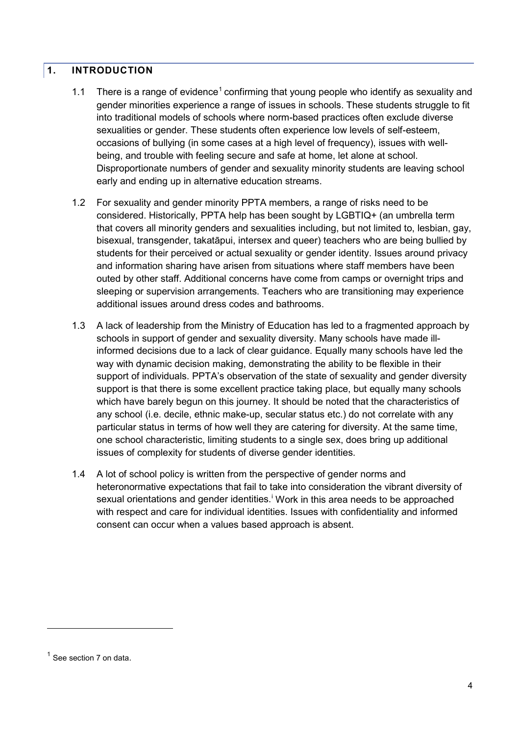#### <span id="page-3-0"></span>**1. INTRODUCTION**

- [1](#page-3-1).1 There is a range of evidence<sup>1</sup> confirming that young people who identify as sexuality and gender minorities experience a range of issues in schools. These students struggle to fit into traditional models of schools where norm-based practices often exclude diverse sexualities or gender. These students often experience low levels of self-esteem, occasions of bullying (in some cases at a high level of frequency), issues with wellbeing, and trouble with feeling secure and safe at home, let alone at school. Disproportionate numbers of gender and sexuality minority students are leaving school early and ending up in alternative education streams.
- 1.2 For sexuality and gender minority PPTA members, a range of risks need to be considered. Historically, PPTA help has been sought by LGBTIQ+ (an umbrella term that covers all minority genders and sexualities including, but not limited to, lesbian, gay, bisexual, transgender, takatāpui, intersex and queer) teachers who are being bullied by students for their perceived or actual sexuality or gender identity. Issues around privacy and information sharing have arisen from situations where staff members have been outed by other staff. Additional concerns have come from camps or overnight trips and sleeping or supervision arrangements. Teachers who are transitioning may experience additional issues around dress codes and bathrooms.
- 1.3 A lack of leadership from the Ministry of Education has led to a fragmented approach by schools in support of gender and sexuality diversity. Many schools have made illinformed decisions due to a lack of clear guidance. Equally many schools have led the way with dynamic decision making, demonstrating the ability to be flexible in their support of individuals. PPTA's observation of the state of sexuality and gender diversity support is that there is some excellent practice taking place, but equally many schools which have barely begun on this journey. It should be noted that the characteristics of any school (i.e. decile, ethnic make-up, secular status etc.) do not correlate with any particular status in terms of how well they are catering for diversity. At the same time, one school characteristic, limiting students to a single sex, does bring up additional issues of complexity for students of diverse gender identities.
- 1.4 A lot of school policy is written from the perspective of gender norms and heteronormative expectations that fail to take into consideration the vibrant diversity of sexual or[i](#page-9-1)entations and gender identities.<sup>1</sup> Work in this area needs to be approached with respect and care for individual identities. Issues with confidentiality and informed consent can occur when a values based approach is absent.

-

<span id="page-3-1"></span> $<sup>1</sup>$  See section 7 on data.</sup>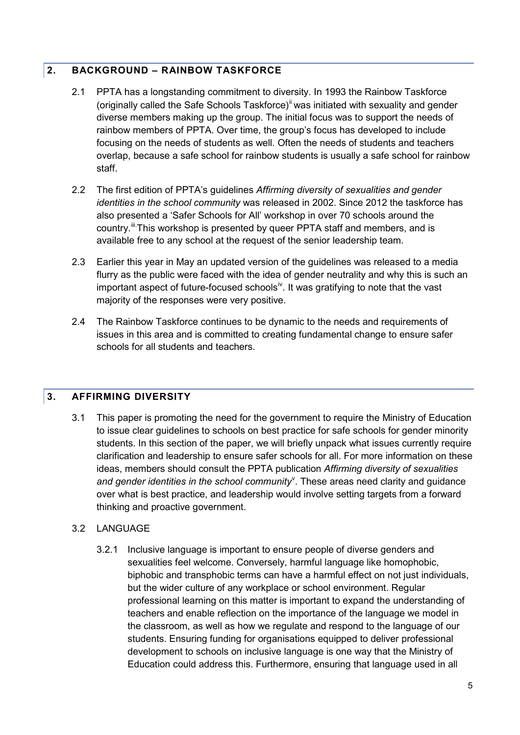# <span id="page-4-0"></span>**2. BACKGROUND – RAINBOW TASKFORCE**

- 2.1 PPTA has a longstanding commitment to diversity. In 1993 the Rainbow Taskforce (originally called the Safe Schools Taskforce)<sup>[ii](#page-9-2)</sup> was initiated with sexuality and gender diverse members making up the group. The initial focus was to support the needs of rainbow members of PPTA. Over time, the group's focus has developed to include focusing on the needs of students as well. Often the needs of students and teachers overlap, because a safe school for rainbow students is usually a safe school for rainbow staff.
- 2.2 The first edition of PPTA's guidelines *Affirming diversity of sexualities and gender identities in the school community* was released in 2002. Since 2012 the taskforce has also presented a 'Safer Schools for All' workshop in over 70 schools around the country.<sup>[iii.](#page-9-3)</sup>This workshop is presented by queer PPTA staff and members, and is available free to any school at the request of the senior leadership team.
- 2.3 Earlier this year in May an updated version of the guidelines was released to a media flurry as the public were faced with the idea of gender neutrality and why this is such an important aspect of future-focused schools<sup>iv</sup>. It was gratifying to note that the vast majority of the responses were very positive.
- 2.4 The Rainbow Taskforce continues to be dynamic to the needs and requirements of issues in this area and is committed to creating fundamental change to ensure safer schools for all students and teachers.

# <span id="page-4-1"></span>**3. AFFIRMING DIVERSITY**

3.1 This paper is promoting the need for the government to require the Ministry of Education to issue clear guidelines to schools on best practice for safe schools for gender minority students. In this section of the paper, we will briefly unpack what issues currently require clarification and leadership to ensure safer schools for all. For more information on these ideas, members should consult the PPTA publication *Affirming diversity of sexualities*  and gender identities in the school community<sup>[v](#page-9-5)</sup>. These areas need clarity and guidance over what is best practice, and leadership would involve setting targets from a forward thinking and proactive government.

#### 3.2 LANGUAGE

3.2.1 Inclusive language is important to ensure people of diverse genders and sexualities feel welcome. Conversely, harmful language like homophobic, biphobic and transphobic terms can have a harmful effect on not just individuals, but the wider culture of any workplace or school environment. Regular professional learning on this matter is important to expand the understanding of teachers and enable reflection on the importance of the language we model in the classroom, as well as how we regulate and respond to the language of our students. Ensuring funding for organisations equipped to deliver professional development to schools on inclusive language is one way that the Ministry of Education could address this. Furthermore, ensuring that language used in all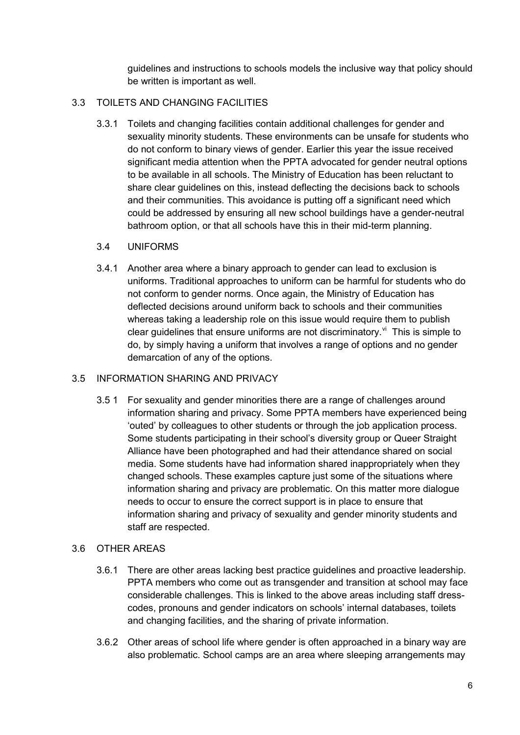guidelines and instructions to schools models the inclusive way that policy should be written is important as well.

# 3.3 TOILETS AND CHANGING FACILITIES

3.3.1 Toilets and changing facilities contain additional challenges for gender and sexuality minority students. These environments can be unsafe for students who do not conform to binary views of gender. Earlier this year the issue received significant media attention when the PPTA advocated for gender neutral options to be available in all schools. The Ministry of Education has been reluctant to share clear guidelines on this, instead deflecting the decisions back to schools and their communities. This avoidance is putting off a significant need which could be addressed by ensuring all new school buildings have a gender-neutral bathroom option, or that all schools have this in their mid-term planning.

# 3.4 UNIFORMS

3.4.1 Another area where a binary approach to gender can lead to exclusion is uniforms. Traditional approaches to uniform can be harmful for students who do not conform to gender norms. Once again, the Ministry of Education has deflected decisions around uniform back to schools and their communities whereas taking a leadership role on this issue would require them to publish clear guidelines that ensure uniforms are not discriminatory. $\mathbf{v}^{\mathsf{N}}$  This is simple to do, by simply having a uniform that involves a range of options and no gender demarcation of any of the options.

#### 3.5 INFORMATION SHARING AND PRIVACY

3.5 1 For sexuality and gender minorities there are a range of challenges around information sharing and privacy. Some PPTA members have experienced being 'outed' by colleagues to other students or through the job application process. Some students participating in their school's diversity group or Queer Straight Alliance have been photographed and had their attendance shared on social media. Some students have had information shared inappropriately when they changed schools. These examples capture just some of the situations where information sharing and privacy are problematic. On this matter more dialogue needs to occur to ensure the correct support is in place to ensure that information sharing and privacy of sexuality and gender minority students and staff are respected.

#### 3.6 OTHER AREAS

- 3.6.1 There are other areas lacking best practice guidelines and proactive leadership. PPTA members who come out as transgender and transition at school may face considerable challenges. This is linked to the above areas including staff dresscodes, pronouns and gender indicators on schools' internal databases, toilets and changing facilities, and the sharing of private information.
- 3.6.2 Other areas of school life where gender is often approached in a binary way are also problematic. School camps are an area where sleeping arrangements may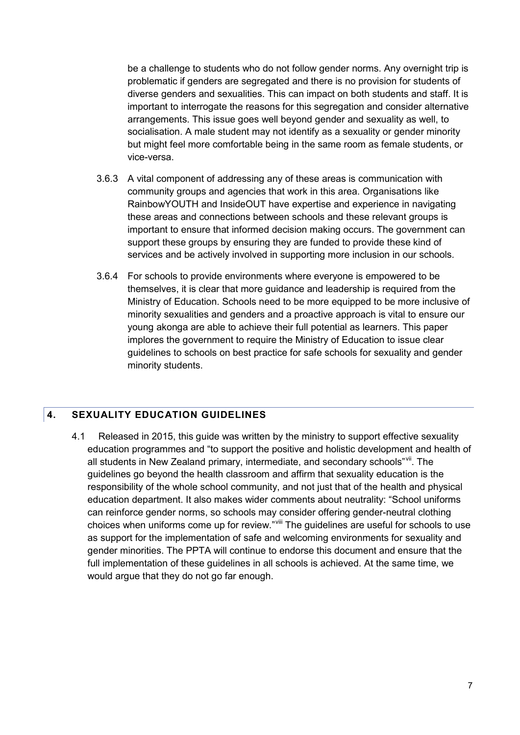be a challenge to students who do not follow gender norms. Any overnight trip is problematic if genders are segregated and there is no provision for students of diverse genders and sexualities. This can impact on both students and staff. It is important to interrogate the reasons for this segregation and consider alternative arrangements. This issue goes well beyond gender and sexuality as well, to socialisation. A male student may not identify as a sexuality or gender minority but might feel more comfortable being in the same room as female students, or vice-versa.

- 3.6.3 A vital component of addressing any of these areas is communication with community groups and agencies that work in this area. Organisations like RainbowYOUTH and InsideOUT have expertise and experience in navigating these areas and connections between schools and these relevant groups is important to ensure that informed decision making occurs. The government can support these groups by ensuring they are funded to provide these kind of services and be actively involved in supporting more inclusion in our schools.
- 3.6.4 For schools to provide environments where everyone is empowered to be themselves, it is clear that more guidance and leadership is required from the Ministry of Education. Schools need to be more equipped to be more inclusive of minority sexualities and genders and a proactive approach is vital to ensure our young akonga are able to achieve their full potential as learners. This paper implores the government to require the Ministry of Education to issue clear guidelines to schools on best practice for safe schools for sexuality and gender minority students.

# <span id="page-6-0"></span>**4. SEXUALITY EDUCATION GUIDELINES**

4.1 Released in 2015, this guide was written by the ministry to support effective sexuality education programmes and "to support the positive and holistic development and health of all students in New Zealand primary, intermediate, and secondary schools"[vii](#page-9-7). The guidelines go beyond the health classroom and affirm that sexuality education is the responsibility of the whole school community, and not just that of the health and physical education department. It also makes wider comments about neutrality: "School uniforms can reinforce gender norms, so schools may consider offering gender-neutral clothing choices when uniforms come up for review."Vill The guidelines are useful for schools to use as support for the implementation of safe and welcoming environments for sexuality and gender minorities. The PPTA will continue to endorse this document and ensure that the full implementation of these guidelines in all schools is achieved. At the same time, we would argue that they do not go far enough.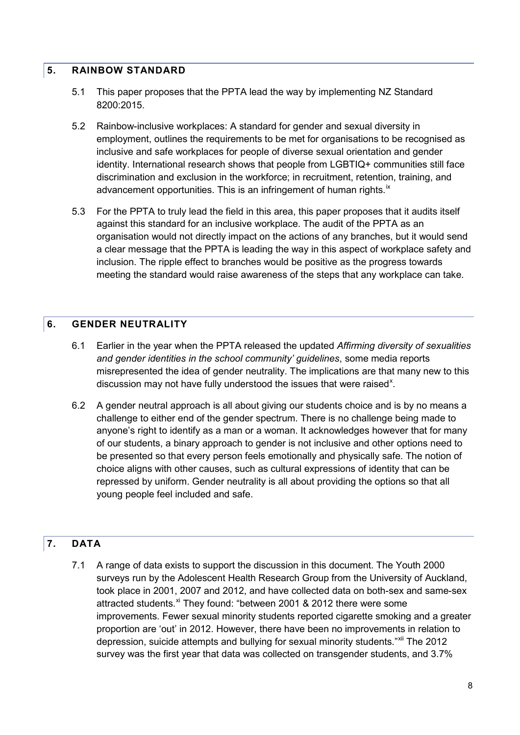#### <span id="page-7-0"></span>**5. RAINBOW STANDARD**

- 5.1 This paper proposes that the PPTA lead the way by implementing NZ Standard 8200:2015.
- 5.2 Rainbow-inclusive workplaces: A standard for gender and sexual diversity in employment, outlines the requirements to be met for organisations to be recognised as inclusive and safe workplaces for people of diverse sexual orientation and gender identity. International research shows that people from LGBTIQ+ communities still face discrimination and exclusion in the workforce; in recruitment, retention, training, and advancement opportunities. This is an infringement of human rights.<sup>[ix](#page-9-9)</sup>
- 5.3 For the PPTA to truly lead the field in this area, this paper proposes that it audits itself against this standard for an inclusive workplace. The audit of the PPTA as an organisation would not directly impact on the actions of any branches, but it would send a clear message that the PPTA is leading the way in this aspect of workplace safety and inclusion. The ripple effect to branches would be positive as the progress towards meeting the standard would raise awareness of the steps that any workplace can take.

# <span id="page-7-1"></span>**6. GENDER NEUTRALITY**

- 6.1 Earlier in the year when the PPTA released the updated *Affirming diversity of sexualities and gender identities in the school community' guidelines*, some media reports misrepresented the idea of gender neutrality. The implications are that many new to this discussion may not have fully understood the issues that were raised<sup>[x](#page-9-10)</sup>.
- 6.2 A gender neutral approach is all about giving our students choice and is by no means a challenge to either end of the gender spectrum. There is no challenge being made to anyone's right to identify as a man or a woman. It acknowledges however that for many of our students, a binary approach to gender is not inclusive and other options need to be presented so that every person feels emotionally and physically safe. The notion of choice aligns with other causes, such as cultural expressions of identity that can be repressed by uniform. Gender neutrality is all about providing the options so that all young people feel included and safe.

# <span id="page-7-2"></span>**7. DATA**

7.1 A range of data exists to support the discussion in this document. The Youth 2000 surveys run by the Adolescent Health Research Group from the University of Auckland, took place in 2001, 2007 and 2012, and have collected data on both-sex and same-sex attracted students.<sup>[xi](#page-9-11)</sup> They found: "between 2001 & 2012 there were some improvements. Fewer sexual minority students reported cigarette smoking and a greater proportion are 'out' in 2012. However, there have been no improvements in relation to depression, suicide attempts and bullying for sexual minority students." Xil The 2012 survey was the first year that data was collected on transgender students, and 3.7%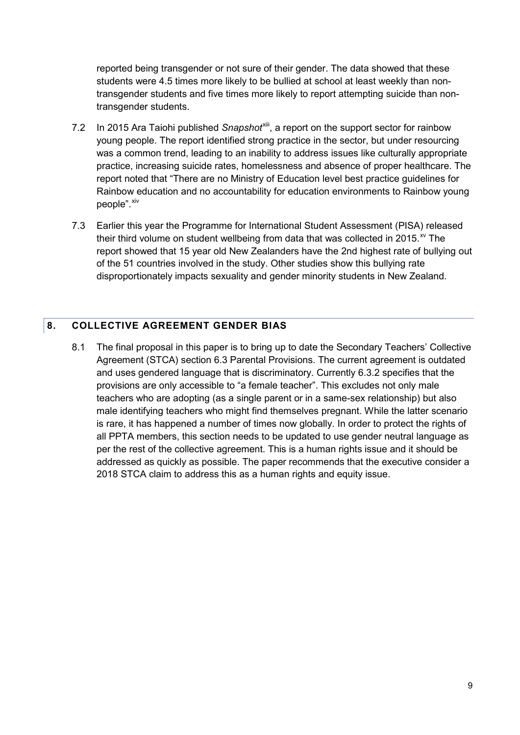reported being transgender or not sure of their gender. The data showed that these students were 4.5 times more likely to be bullied at school at least weekly than nontransgender students and five times more likely to report attempting suicide than nontransgender students.

- 7.2 In 2015 Ara Taiohi published Snapshot<sup>xiii</sup>, a report on the support sector for rainbow young people. The report identified strong practice in the sector, but under resourcing was a common trend, leading to an inability to address issues like culturally appropriate practice, increasing suicide rates, homelessness and absence of proper healthcare. The report noted that "There are no Ministry of Education level best practice guidelines for Rainbow education and no accountability for education environments to Rainbow young people".<sup>[xiv](#page-9-14)</sup>
- 7.3 Earlier this year the Programme for International Student Assessment (PISA) released their third volume on student wellbeing from data that was collected in 2015. $^{x}$  The report showed that 15 year old New Zealanders have the 2nd highest rate of bullying out of the 51 countries involved in the study. Other studies show this bullying rate disproportionately impacts sexuality and gender minority students in New Zealand.

# <span id="page-8-0"></span>**8. COLLECTIVE AGREEMENT GENDER BIAS**

8.1 The final proposal in this paper is to bring up to date the Secondary Teachers' Collective Agreement (STCA) section 6.3 Parental Provisions. The current agreement is outdated and uses gendered language that is discriminatory. Currently 6.3.2 specifies that the provisions are only accessible to "a female teacher". This excludes not only male teachers who are adopting (as a single parent or in a same-sex relationship) but also male identifying teachers who might find themselves pregnant. While the latter scenario is rare, it has happened a number of times now globally. In order to protect the rights of all PPTA members, this section needs to be updated to use gender neutral language as per the rest of the collective agreement. This is a human rights issue and it should be addressed as quickly as possible. The paper recommends that the executive consider a 2018 STCA claim to address this as a human rights and equity issue.